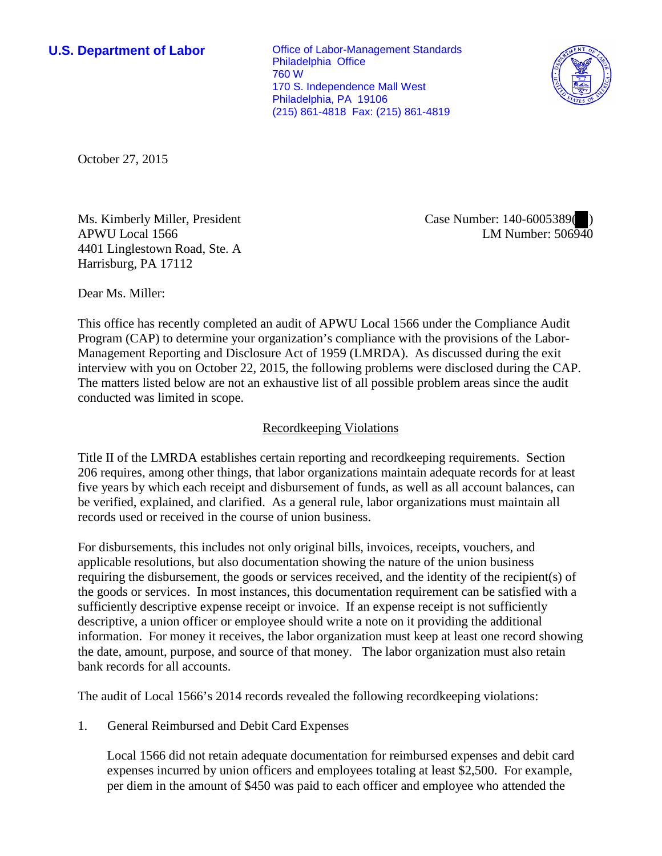**U.S. Department of Labor Conservative Conservative Conservative Conservative Conservative Conservative Conservative Conservative Conservative Conservative Conservative Conservative Conservative Conservative Conservative** Philadelphia Office 760 W 170 S. Independence Mall West Philadelphia, PA 19106 (215) 861-4818 Fax: (215) 861-4819



October 27, 2015

Ms. Kimberly Miller, President APWU Local 1566 4401 Linglestown Road, Ste. A Harrisburg, PA 17112

Case Number: 140-6005389( ) LM Number: 506940

Dear Ms. Miller:

This office has recently completed an audit of APWU Local 1566 under the Compliance Audit Program (CAP) to determine your organization's compliance with the provisions of the Labor-Management Reporting and Disclosure Act of 1959 (LMRDA). As discussed during the exit interview with you on October 22, 2015, the following problems were disclosed during the CAP. The matters listed below are not an exhaustive list of all possible problem areas since the audit conducted was limited in scope.

## Recordkeeping Violations

Title II of the LMRDA establishes certain reporting and recordkeeping requirements. Section 206 requires, among other things, that labor organizations maintain adequate records for at least five years by which each receipt and disbursement of funds, as well as all account balances, can be verified, explained, and clarified. As a general rule, labor organizations must maintain all records used or received in the course of union business.

For disbursements, this includes not only original bills, invoices, receipts, vouchers, and applicable resolutions, but also documentation showing the nature of the union business requiring the disbursement, the goods or services received, and the identity of the recipient(s) of the goods or services. In most instances, this documentation requirement can be satisfied with a sufficiently descriptive expense receipt or invoice. If an expense receipt is not sufficiently descriptive, a union officer or employee should write a note on it providing the additional information. For money it receives, the labor organization must keep at least one record showing the date, amount, purpose, and source of that money. The labor organization must also retain bank records for all accounts.

The audit of Local 1566's 2014 records revealed the following recordkeeping violations:

1. General Reimbursed and Debit Card Expenses

Local 1566 did not retain adequate documentation for reimbursed expenses and debit card expenses incurred by union officers and employees totaling at least \$2,500. For example, per diem in the amount of \$450 was paid to each officer and employee who attended the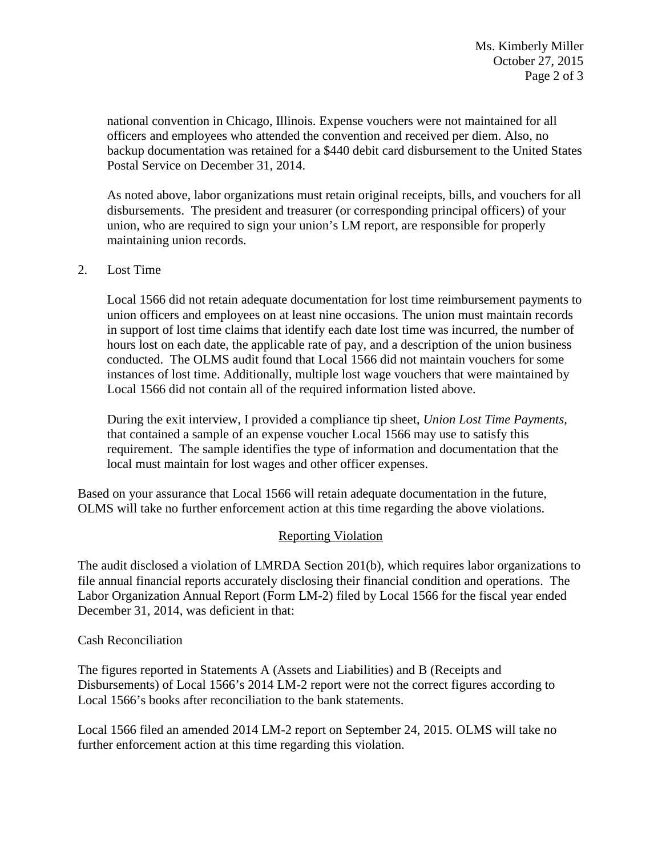national convention in Chicago, Illinois. Expense vouchers were not maintained for all officers and employees who attended the convention and received per diem. Also, no backup documentation was retained for a \$440 debit card disbursement to the United States Postal Service on December 31, 2014.

As noted above, labor organizations must retain original receipts, bills, and vouchers for all disbursements. The president and treasurer (or corresponding principal officers) of your union, who are required to sign your union's LM report, are responsible for properly maintaining union records.

### 2. Lost Time

Local 1566 did not retain adequate documentation for lost time reimbursement payments to union officers and employees on at least nine occasions. The union must maintain records in support of lost time claims that identify each date lost time was incurred, the number of hours lost on each date, the applicable rate of pay, and a description of the union business conducted. The OLMS audit found that Local 1566 did not maintain vouchers for some instances of lost time. Additionally, multiple lost wage vouchers that were maintained by Local 1566 did not contain all of the required information listed above.

During the exit interview, I provided a compliance tip sheet, *Union Lost Time Payments*, that contained a sample of an expense voucher Local 1566 may use to satisfy this requirement. The sample identifies the type of information and documentation that the local must maintain for lost wages and other officer expenses.

Based on your assurance that Local 1566 will retain adequate documentation in the future, OLMS will take no further enforcement action at this time regarding the above violations.

#### Reporting Violation

The audit disclosed a violation of LMRDA Section 201(b), which requires labor organizations to file annual financial reports accurately disclosing their financial condition and operations. The Labor Organization Annual Report (Form LM-2) filed by Local 1566 for the fiscal year ended December 31, 2014, was deficient in that:

#### Cash Reconciliation

The figures reported in Statements A (Assets and Liabilities) and B (Receipts and Disbursements) of Local 1566's 2014 LM-2 report were not the correct figures according to Local 1566's books after reconciliation to the bank statements.

Local 1566 filed an amended 2014 LM-2 report on September 24, 2015. OLMS will take no further enforcement action at this time regarding this violation.